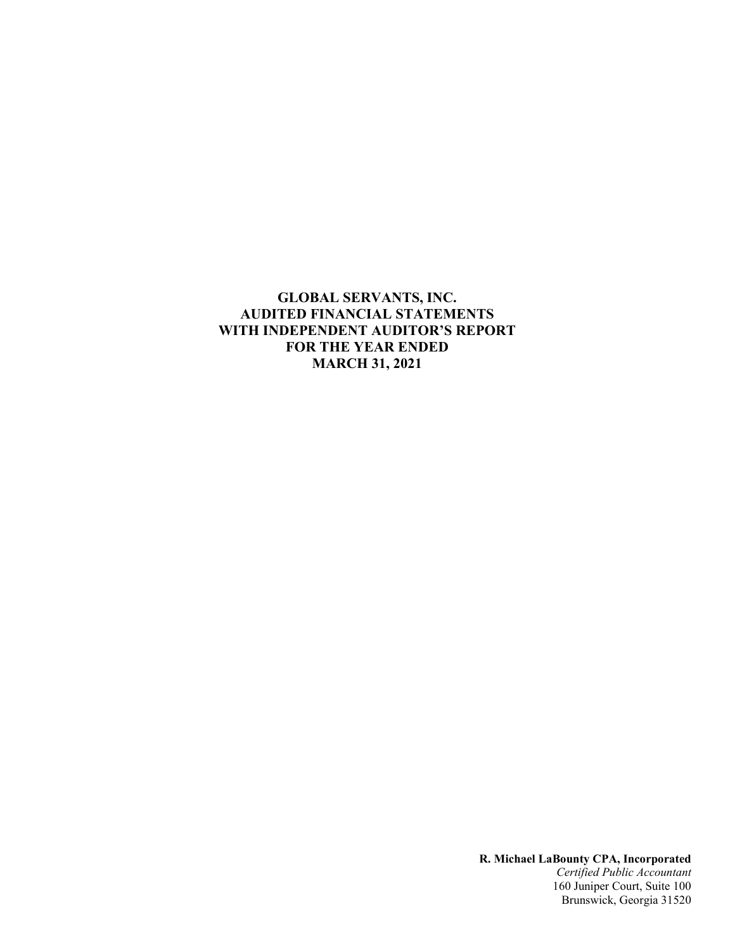# GLOBAL SERVANTS, INC. AUDITED FINANCIAL STATEMENTS GLOBAL SERVANTS, INC.<br>AUDITED FINANCIAL STATEMENTS<br>WITH INDEPENDENT AUDITOR'S REPORT<br>FOR THE YEAR ENDED<br>MARCH 31, 2021 ELOBAL SERVANTS, INC.<br>ED FINANCIAL STATEMENTS<br>DEPENDENT AUDITOR'S REPORT<br>FOR THE YEAR ENDED<br>MARCH 31, 2021 BAL SERVANTS, INC.<br>FINANCIAL STATEMENTS<br>ENDENT AUDITOR'S REPORT<br>1 THE VEAR ENDED<br>MARCH 31, 2021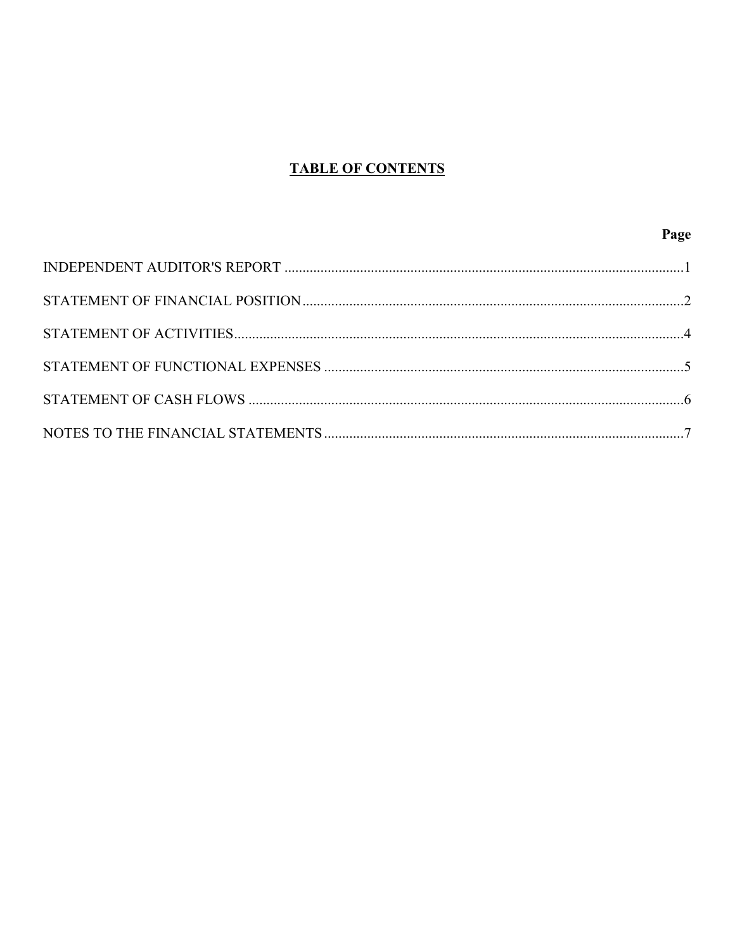# **TABLE OF CONTENTS**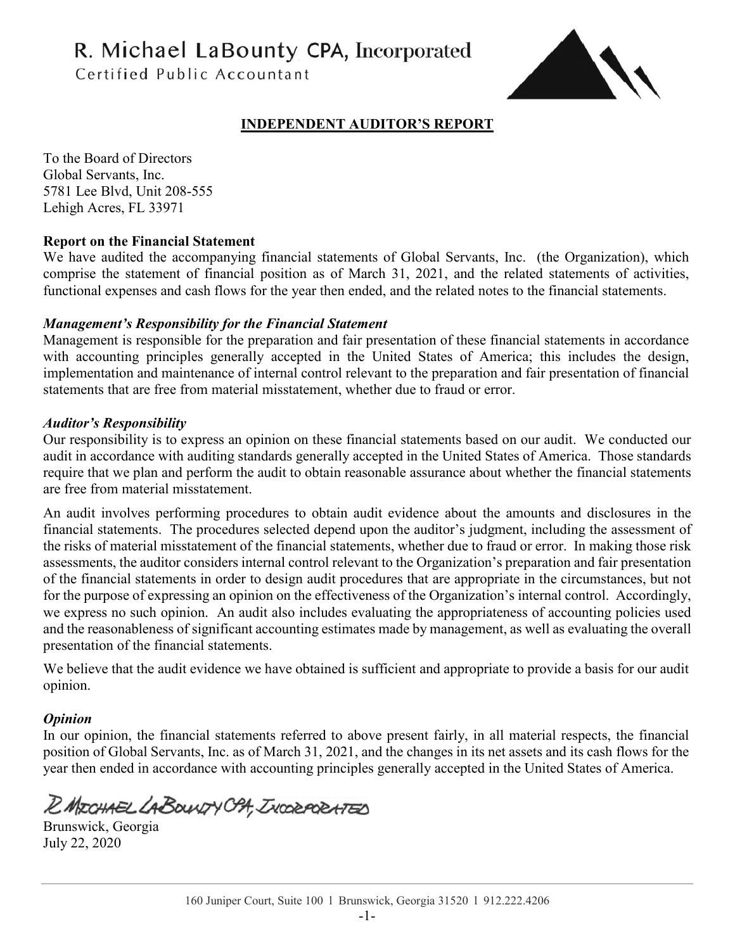

# INDEPENDENT AUDITOR'S REPORT

To the Board of Directors Global Servants, Inc. 5781 Lee Blvd, Unit 208-555 Lehigh Acres, FL 33971

## Report on the Financial Statement

R. Michael LaBounty CPA, Incorporated<br>
Certified Public Accountant<br>
INDEPENDENT AUDITOR'S REPORT<br>
Global Servants, Inc.<br>
S781 Lee Blvd, Unit 208-555<br>
Echigh Acres, FL 33971<br>
We have audited the accompanying financial state **COMPRIGE CONTRIGE CONTRIGERED CONTRIGERED CONTRIGERED CONTRIGENT TO the Board of Directors<br>
Compared of Directors<br>
Comparation as of March 31, 2021, and the related statements of activities,<br>
We have audited the accompany Functional Expenditute CPA, Incorporated**<br> **FUNCTION:** CONTIFION: **CPA, INCOTE CONTIFION:** The Blvd, Unit 2008-555<br>
S781 Lee Blvd, Unit 2008-555<br>
Lehigh Acres, FL 33971<br> **Report on the Financial Statement**<br>
We have audite

## Management's Responsibility for the Financial Statement

R. Michael LaBountty CPA, Incorporated<br>
Certified Public Accountant<br>
To the Board of Directors<br>
To the Board of Directors<br>
To the Board of Directors<br>
S781 Lee Blvd, Unit 208-555<br>
Lehigh Acres, FL 33971<br>
Report on the Finan with accounting principles generally accepted in the United States of America; this includes the design, implementation and maintenance of internal control relevant to the preparation and fair presentation of financial **STATE 1998 INTERT ANDITOR'S REPORT**<br> **STATE AREAD CONDUCT AND TORE SET AREAD CONDUCT**<br>
STATE Length Acres, FL 33971<br> **Report on the Financial Statement**<br>
We have audited the accompanying financial astements of Global Serv **INDEPENDENT AUDITOR'S REPORT**<br>
To the Board of Directors<br>
Global Servants, Inc.<br>
5781 Lee Blvd, Unit 208-555<br>
Lehigh Acres, FL 33971<br> **Report on the Financial Statement**<br>
We have audited the accompanying financial stateme To the Board of Directors<br>
Global Servants, Inc.<br>
Global Servants, Inc.<br>
Global Servants, Inc.<br>
Grobat Incharactial Statement<br>
Neo have audided the accompanying financial statements of Global Servants, Inc. (the Organizati Fig. 1 Lee Blvd, Unit 208-5555<br>TSPI Lee Blvd, Unit 208-5555<br>Tehiph Acres, FL 33971<br>
Report on the Financial Statement<br>
We have audited the accompanying financial statements of Global Servants, Inc. (the Organization), whic

audit in accordance with auditing standards generally accepted in the United States of America. Those standards are free from material misstatement.

An audit involves performing procedures to obtain audit evidence about the amounts and disclosures in the **Report on the Financial Statement**<br>We have audited the accompanying financial statements of Global Servants, Inc. (the Organization), which<br>comprise the statement of financial position as of March 31, 2021, and the relate Report on the Financial Statement of Global Scrvants, Ine. (the Organization), which<br>eventy on the Financial Dostton as of March 31, 2021, and the related statements of activities,<br>charactional expenses and cash flows for assessments, the auditor considers internal control relevant to the Organization's preparation and fair presentation comprise the statement of financial position as of March 31, 2021, and the related statements of activities, thurdroinal expenses and cash flows for the pear then ended, and the related notes to the financial statements.<br> functional expenses and cash flows for the year then ended, and the related notes to the financial statements.<br> **Management's Responsibility for the Financial Statement**<br>
Management is responsible for the preparation and f we express no such opinion. An audit also includes evaluating the appropriateness of accounting policies used and the reasonableness of significant accounting estimates made by management, as well as evaluating the overall presentation of the financial statements. In our opinion, the financial statements referred to above present fairly, in all material respects, the financial Our responsability is to express an optimon on uncer unideral stationists of a change of the United States of America. Those standards and the and perform the addit to obtain reasonable assurance about whether the financi wear the secure with account of the financial statements were then the chief value of the United States of America.<br>The principle state with an accounter the manding special statements are free from material misstatement.<br>

We believe that the audit evidence we have obtained is sufficient and appropriate to provide a basis for our audit opinion.

## **Opinion**

Brunswick, Georgia July 22, 2020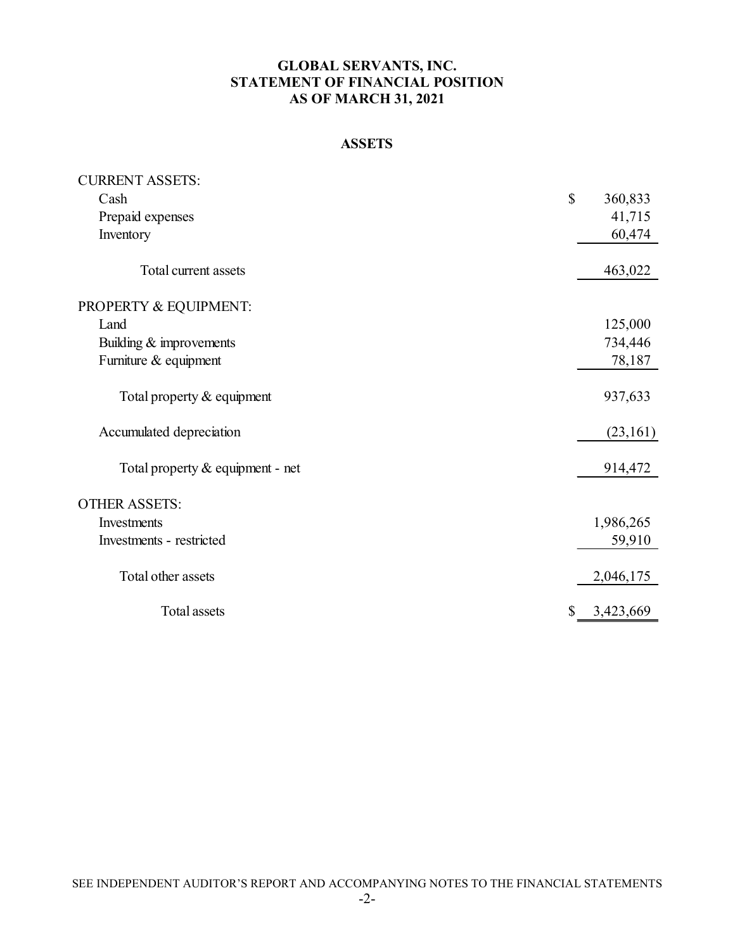# **GLOBAL SERVANTS, INC.<br>STATEMENT OF FINANCIAL POSITION** GLOBAL SERVANTS, INC.<br>STATEMENT OF FINANCIAL POSITION<br>AS OF MARCH 31, 2021<br>ASSETS LOBAL SERVANTS, INC.<br>IENT OF FINANCIAL POSITION<br>AS OF MARCH 31, 2021<br>ASSETS

## ASSETS

| <b>GLOBAL SERVANTS, INC.</b><br>STATEMENT OF FINANCIAL POSITION<br><b>AS OF MARCH 31, 2021</b> |                                             |
|------------------------------------------------------------------------------------------------|---------------------------------------------|
| <b>ASSETS</b>                                                                                  |                                             |
| <b>CURRENT ASSETS:</b><br>Cash<br>Prepaid expenses<br>Inventory                                | $\mathbb{S}$<br>360,833<br>41,715<br>60,474 |
| Total current assets                                                                           | 463,022                                     |
| PROPERTY & EQUIPMENT:<br>Land<br>Building & improvements<br>Furniture & equipment              | 125,000<br>734,446<br>78,187                |
| Total property & equipment                                                                     | 937,633                                     |
| Accumulated depreciation                                                                       | (23, 161)                                   |
| Total property & equipment - net                                                               | 914,472                                     |
| <b>OTHER ASSETS:</b><br>Investments<br>Investments - restricted                                | 1,986,265<br>59,910                         |
| Total other assets                                                                             | 2,046,175                                   |
| Total assets                                                                                   | 3,423,669<br>\$                             |

SEE INDEPENDENT AUDITOR'S REPORT AND ACCOMPANYING NOTES TO THE FINANCIAL STATEMENTS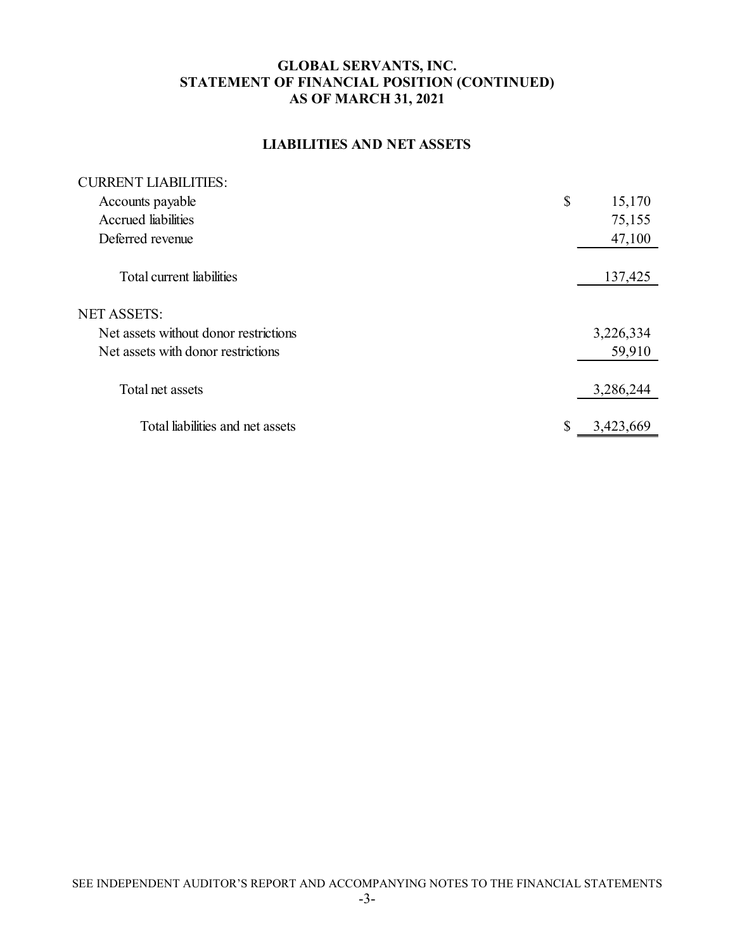# GLOBAL SERVANTS, INC.<br>STATEMENT OF FINANCIAL POSITION (CONTINUED) GLOBAL SERVANTS, INC.<br>STATEMENT OF FINANCIAL POSITION (CONTINUED)<br>AS OF MARCH 31, 2021<br>LIABILITIES AND NET ASSETS LOBAL SERVANTS, INC.<br>F FINANCIAL POSITION (CONTINUED)<br>AS OF MARCH 31, 2021<br>BILITIES AND NET ASSETS

## LIABILITIES AND NET ASSETS

| <b>GLOBAL SERVANTS, INC.</b><br>STATEMENT OF FINANCIAL POSITION (CONTINUED)<br><b>AS OF MARCH 31, 2021</b> |                        |
|------------------------------------------------------------------------------------------------------------|------------------------|
| <b>LIABILITIES AND NET ASSETS</b>                                                                          |                        |
| <b>CURRENT LIABILITIES:</b>                                                                                |                        |
| Accounts payable                                                                                           | $\mathbb{S}$<br>15,170 |
| Accrued liabilities                                                                                        | 75,155                 |
| Deferred revenue                                                                                           | 47,100                 |
| Total current liabilities                                                                                  | 137,425                |
| <b>NET ASSETS:</b>                                                                                         |                        |
| Net assets without donor restrictions                                                                      | 3,226,334              |
| Net assets with donor restrictions                                                                         | 59,910                 |
| Total net assets                                                                                           | 3,286,244              |
| Total liabilities and net assets                                                                           | \$<br>3,423,669        |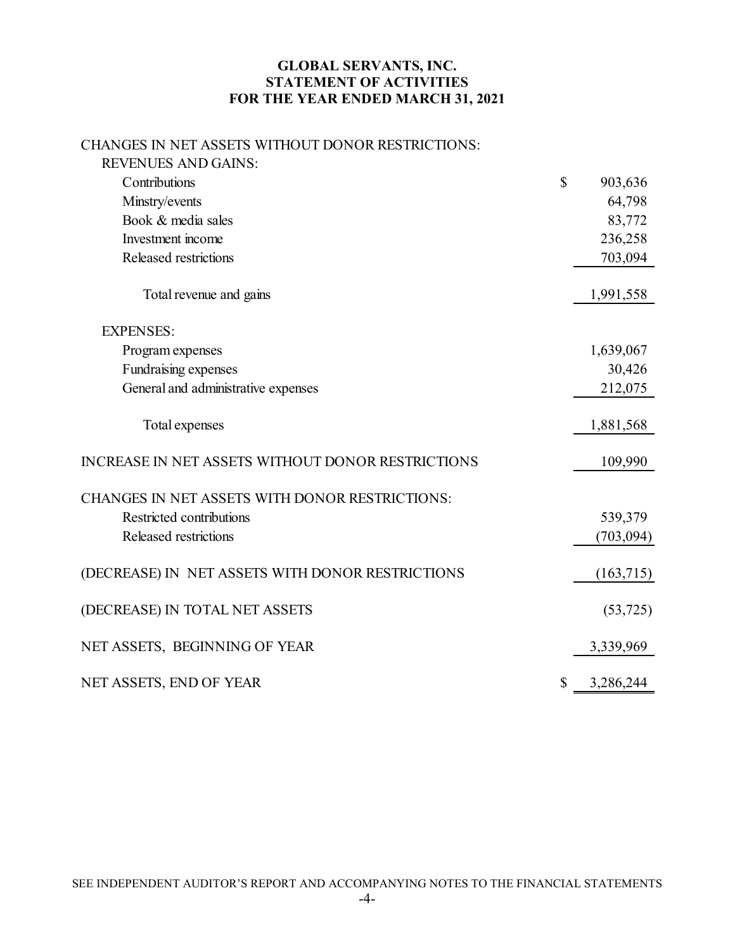# GLOBAL SERVANTS, INC.<br>STATEMENT OF ACTIVITIES **GLOBAL SERVANTS, INC.<br>STATEMENT OF ACTIVITIES<br>THE YEAR ENDED MARCH 31, 2021<br>THOUT DONOR RESTRICTIONS: GLOBAL SERVANTS, INC.<br>STATEMENT OF ACTIVITIES<br>FOR THE YEAR ENDED MARCH 31, 2021**<br>ETS WITHOUT DONOR RESTRICTIONS:<br>INS:

## CHANGES IN NET ASSETS WITHOUT DONOR RESTRICTIONS:

| <b>GLOBAL SERVANTS, INC.</b><br><b>STATEMENT OF ACTIVITIES</b><br>FOR THE YEAR ENDED MARCH 31, 2021 |              |                   |
|-----------------------------------------------------------------------------------------------------|--------------|-------------------|
| CHANGES IN NET ASSETS WITHOUT DONOR RESTRICTIONS:                                                   |              |                   |
| REVENUES AND GAINS:<br>Contributions                                                                | $\mathbb{S}$ |                   |
| Minstry/events                                                                                      |              | 903,636<br>64,798 |
| Book & media sales                                                                                  |              | 83,772            |
| Investment income                                                                                   |              | 236,258           |
| Released restrictions                                                                               |              | 703,094           |
| Total revenue and gains                                                                             |              | 1,991,558         |
| <b>EXPENSES:</b>                                                                                    |              |                   |
| Program expenses                                                                                    |              | 1,639,067         |
| Fundraising expenses                                                                                |              | 30,426            |
| General and administrative expenses                                                                 |              | 212,075           |
| Total expenses                                                                                      |              | 1,881,568         |
| INCREASE IN NET ASSETS WITHOUT DONOR RESTRICTIONS                                                   |              | 109,990           |
| CHANGES IN NET ASSETS WITH DONOR RESTRICTIONS:                                                      |              |                   |
| Restricted contributions                                                                            |              | 539,379           |
| Released restrictions                                                                               |              | (703, 094)        |
| (DECREASE) IN NET ASSETS WITH DONOR RESTRICTIONS                                                    |              | (163,715)         |
| (DECREASE) IN TOTAL NET ASSETS                                                                      |              | (53, 725)         |
| NET ASSETS, BEGINNING OF YEAR                                                                       |              | 3,339,969         |
| NET ASSETS, END OF YEAR                                                                             | \$           | 3,286,244         |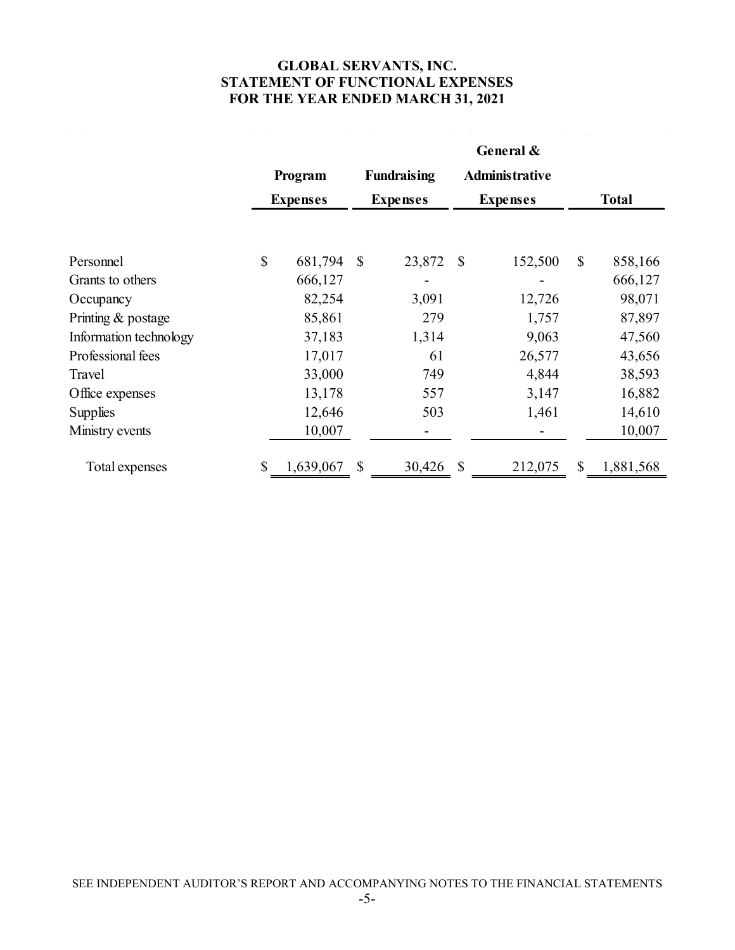# GLOBAL SERVANTS, INC. GLOBAL SERVANTS, INC.<br>STATEMENT OF FUNCTIONAL EXPENSES<br>FOR THE YEAR ENDED MARCH 31, 2021<br>General &

|                        |                            |                                       | FOR THE YEAR ENDED MARCH 31, 2021 |                                          | STATEMENT OF FUNCTIONAL EXPENSES<br>General & |               |              |
|------------------------|----------------------------|---------------------------------------|-----------------------------------|------------------------------------------|-----------------------------------------------|---------------|--------------|
|                        | Program<br><b>Expenses</b> | <b>Fundraising</b><br><b>Expenses</b> |                                   | <b>Administrative</b><br><b>Expenses</b> |                                               |               | <b>Total</b> |
|                        |                            |                                       |                                   |                                          |                                               |               |              |
| Personnel              | \$<br>681,794 \$           |                                       | 23,872 \$                         |                                          | 152,500                                       | $\mathcal{S}$ | 858,166      |
| Grants to others       | 666,127                    |                                       | $\overline{\phantom{a}}$          |                                          |                                               |               | 666,127      |
| Occupancy              | 82,254                     |                                       | 3,091                             |                                          | 12,726                                        |               | 98,071       |
| Printing & postage     | 85,861                     |                                       | 279                               |                                          | 1,757                                         |               | 87,897       |
| Information technology | 37,183                     |                                       | 1,314                             |                                          | 9,063                                         |               | 47,560       |
| Professional fees      | 17,017                     |                                       | 61                                |                                          | 26,577                                        |               | 43,656       |
| Travel                 | 33,000                     |                                       | 749                               |                                          | 4,844                                         |               | 38,593       |
| Office expenses        | 13,178                     |                                       | 557                               |                                          | 3,147                                         |               | 16,882       |
| Supplies               | 12,646                     |                                       | 503                               |                                          | 1,461                                         |               | 14,610       |
| Ministry events        | 10,007                     |                                       | $\blacksquare$                    |                                          | $\overline{\phantom{a}}$                      |               | 10,007       |
| Total expenses         | \$<br>$1,639,067$ \$       |                                       | $30,426$ \$                       |                                          | 212,075                                       |               | \$1,881,568  |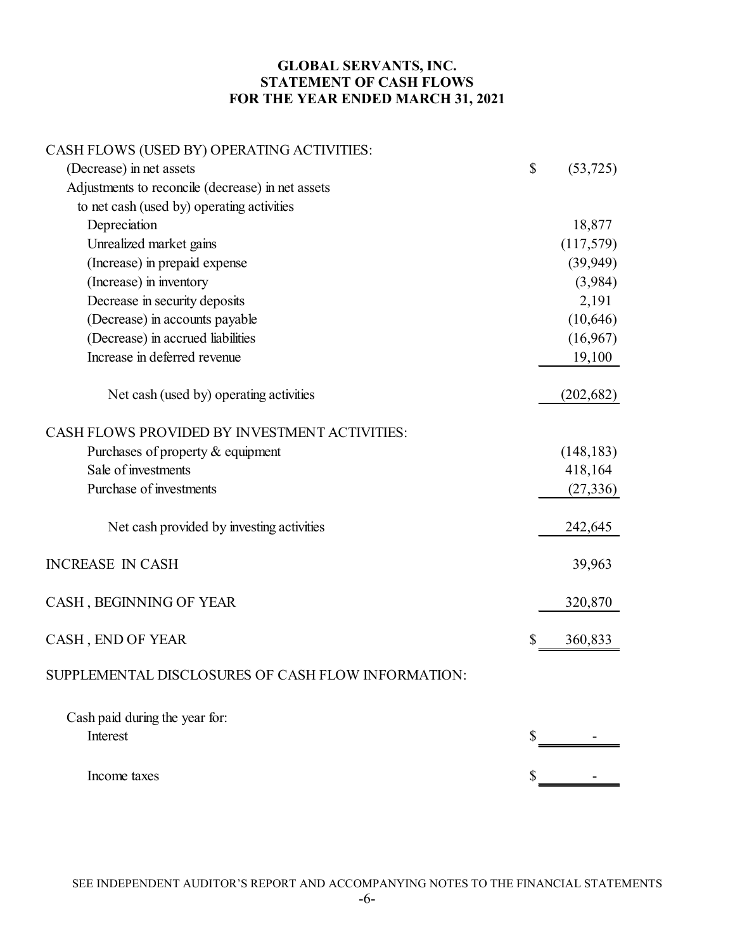# GLOBAL SERVANTS, INC. GLOBAL SERVANTS, INC.<br>STATEMENT OF CASH FLOWS<br>THE YEAR ENDED MARCH 31, 2021<br>ING ACTIVITIES:

# GLOBAL SERVANTS, INC.<br>
STATEMENT OF CASH FLOWS<br>
FOR THE YEAR ENDED MARCH 31, 2021<br>
ERATING ACTIVITIES:<br>
\$ (53,725) CASH FLOWS (USED BY) OPERATING ACTIVITIES: **GLOBAL SERVANTS, INC.**<br> **STATEMENT OF CASH FLOWS**<br> **FOR THE YEAR ENDED MARCH 31, 2021**<br>
SH FLOWS (USED BY) OPERATING ACTIVITIES:<br>
(Decrease) in net assets<br>
to net assets<br>
to net assets<br>
to net assets<br>
Depreciation 18,877<br> Adjustments to reconcile (decrease) in net assets to net cash (used by) operating activities **GLOBAL SERVANTS, INC.**<br> **STATEMENT OF CASH FLOWS**<br> **FOR THE VEAR ENDED MARCH 31, 2021**<br> **FLOWS (USED BY) OPERATING ACTIVITIES:**<br>
terease) in net assets<br>
ustrements to reconcile (decrease) in net assets<br>
net cash (used by) GLOBAL SERVANTS, INC.<br>
STATEMENT OF CASH FLOWS<br>
FOR THE YEAR ENDED MARCH 31, 2021<br>
FLOWS (USED BY) OPERATING ACTIVITIES:<br>
crease) in net assets<br>
net cash (used by) operating activities<br>
net cash (used by) operating activit CLOBAL SERVANTS, INC.<br>
STATEMENT OF CASH FLOWS<br>
FOR THE YEAR ENDED MARCH 31, 2021<br>
FLOWS (USED BY) OPERATING ACTIVITIES:<br>
crease) in net assets<br>
ustments to reconcile (decrease) in net assets<br>
net cash (used by) operating CLOBAL SERVANTS, INC.<br>
STATEMENT OF CASH FLOWS<br>
FOR THE VEAR ENDED MARCH 31, 2021<br>
FLOWS (USED BY) OPERATING ACTIVITIES:<br>
crease) in net assets<br>
ustreash in econcile (decrease) in net assets<br>
Depreciation<br>
Depreciation<br>
(I CLOBAL SERVANTS, INC.<br>
STATEMENT OF CASH FILOWS<br>
FOR THE YEAR ENDED MARCH 31, 2021<br>
FLOWS (USED BY) OPERATING ACTIVITIES:<br>
crease) in net assets<br>
ustments to reconcile (decrease) in net assets<br>
Depreciation<br>
Depreciation<br> GLOBAL SERVANTS, INC.<br>
STATEMENT OF CASH FLOWS<br>
FOR THE YEAR ENDED MARCH 31, 2021<br>
FLOWS (USED BY) OPERATING ACTIVITIES:<br>
terease) in net assets<br>
net cash (ised by) operating activities<br>
Depreciation<br>
(Incensized market ga GLOBAL SERVANTS, INC.<br>
STATEMENT OF CASH FLOWS<br>
FOR THE VEAR ENDED MARCH 31, 2021<br>
FLOWS (USED BY) OPERATING ACTIVITIES:<br>
ercase) in net assets<br>
ustrements to reconcile (decrease) in net assets<br>
net cash (used by) operatin GLOBAL SERVANTS, INC.<br>
FOR THE VEAR ENDED MARCH 31, 2021<br>
FOR THE VEAR ENDED MARCH 31, 2021<br>
FLOWS (USED BY) OPERATING ACTIVITIES:<br>
ECROSE) INCLUSED AND ACTIVITIES:<br>
THE VEAR ENDED MARCH 31, 2021<br>
USED BY OPERATING ACTIVIT FOR THE VEAR ENDED MARCH 31, 2021<br>
NUS (USED BY) OPERATING ACTIVITIES:<br>
se) in net assets<br>
rent assets<br>
cash (used by) operating activities<br>
cash (used by) operating activities<br>
rease) in inventory<br>
rease) in inventory<br>
r CASH FLOWS PROVIDED BY INVESTMENT ACTIVITIES: FLOWS (USED BY) OPERATING ACTIVITIES:<br>
teresse) in net assets<br>
ustments to reconcile (decrease) in net assets<br>
net cash (used by) operating activities<br>
Depreciation<br>
(Increase) in inventory<br>
(Increase) in inventory<br>
(Incr crease) in net assets<br>
surments to reconcile (decrease) in net assets<br>
on the cash (used by) operating activities<br>
Depreciation<br>
Direcalized market gains<br>
(Increase) in prepaid experies<br>
(Increase) in energy depends<br>
(Inc ustments to reconcile (decrease) in net assets<br>
Depreciation<br>
Depreciation<br>
Depreciation<br>
(Increase) in prepaid expense<br>
(Increase) in investory<br>
decrease in security deposits<br>
(Decrease) in accuraty deposits<br>
(Decrease) i Procedion<br>
eralized market gains<br>
eralized market gains<br>
Trackey in prepaid expense<br>
Trackey in accounting payable<br>
Trackey in accounting payable<br>
Crease) in accounting payable<br>
Crease in accounting basis<br>
Crease in accou INCREASE IN CASH 39,963 Decrease in security deposits<br>
(Decrease) in accounts payable<br>
(Decrease) in accounts payable<br>
(Decrease) in accounts payable<br>
Increase in deferred revenue<br>
Net cash (used by) operating activities<br>
CASH FLOWS PROVIDED BY I (Decrease) in accrued liabilities<br>
(16,967)<br>
Increase in deferred revenue<br>
Net eash (used by) operating activities<br>
CASH FLOWS PROVIDED BY INVESTMENT ACTIVITIES:<br>
Purchases of property & equipment<br>
Sale of investments<br>
Pur SUPPLEMENTAL DISCLOSURES OF CASH FLOW INFORMATION: Cash paid during the year for: FLOWS PROVIDED BY INVESTMENT ACTIVITIES:<br>
Sale of investments<br>
Sale of investments<br>
Purchase of investments<br>
The cash provided by investing activities<br>
Net cash provided by investing activities<br>
ASE IN CASH<br>
BEGINNING OF Y Sake of investments<br>
Purchase of investments<br>
Net cash provided by investing activities<br>
ASE. IN CASH<br>
ASE. IN CASH<br>
ASE. IN CASH<br>
39.963<br>
ASE. IN CASH<br>
59.963<br>
ASE. IN CASH<br>
59.963<br>
EMENTAL DISCLOSURES OF CASH FLOW INFORM

SEE INDEPENDENT AUDITOR'S REPORT AND ACCOMPANYING NOTES TO THE FINANCIAL STATEMENTS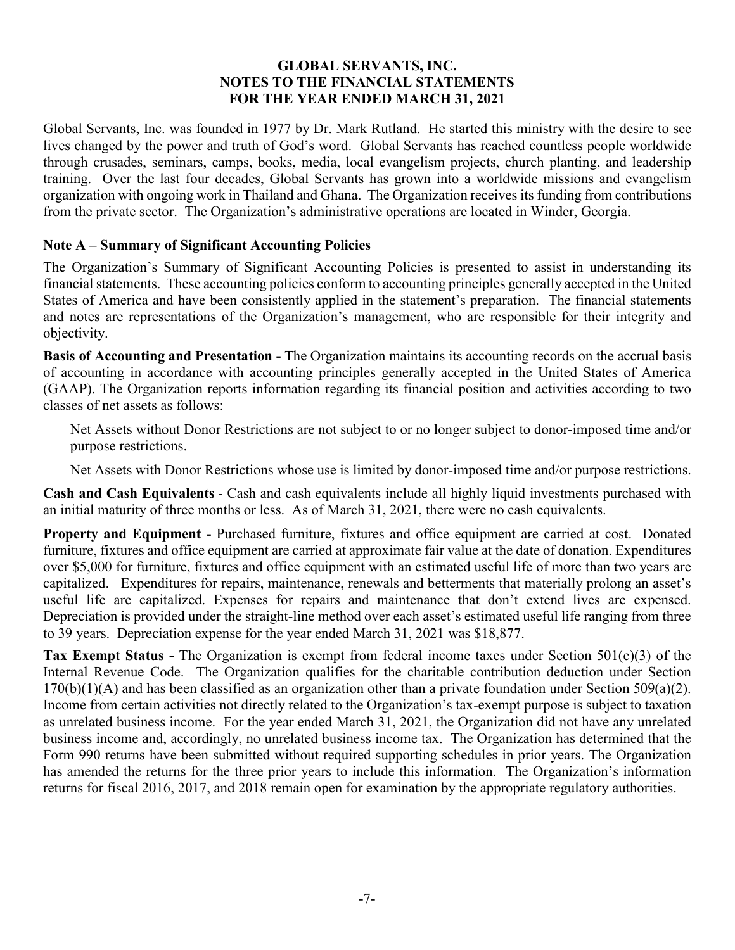# GLOBAL SERVANTS, INC. NOTES TO THE FINANCIAL STATEMENTS

**GLOBAL SERVANTS, INC.**<br> **SERVANTS, INC.**<br> **FOR THE YEAR ENDED MARCH 31, 2021**<br> **EXECUTE:**<br> **EXECUTE:**<br> **EXECUTE:**<br> **EXECUTE:**<br> **EXECUTE:**<br> **EXECUTE:**<br> **EXECUTE:**<br> **EXECUTE:**<br> **EXECUTE:**<br> **EXECUTE:**<br> **EXECUTE:**<br> **EXECUTE:** Global Servants, Inc. was founded in 1977 by Dr. Mark Rutland. He started this ministry with the desire to see lives changed by the power and truth of God's word. Global Servants has reached countless people worldwide through crusades, seminars, camps, books, media, local evangelism projects, church planting, and leadership training. Over the last four decades, Global Servants has grown into a worldwide missions and evangelism **GLOBAL SERVANTS, INC.**<br> **NOTES TO THE FINANCIAL STATEMENTS**<br> **FOR THE VEAR ENDED MARCH 31, 2021**<br>
Global Servants, Inc. was founded in 1977 by Dr. Mark Rutland. He started this ministry with the desire to see<br>
lives chang from the private sector. The Organization's administrative operations are located in Winder, Georgia. **GLOBAL SERVANTS, INC.**<br> **NOTES TO THE FINANCIAL STATEMENTS**<br>
FOR THE YEAR ENDED MARCH 31, 2021<br>
Global Servants, hnc. was founded in 1977 by Dr. Mark Rutland. He started this ilves changed by the power and truth of God's **STATE STATE STATE STATE STATE STATE STATE STATE STATE STATE STATE STATE STATE STATE STATE STATE STATE STATE STATE STATE STATE STATE STATE STATE STATE STATE STATE STATE STATE STATE STATE STATE STATE STATE STATE STATE STATE** al Scrvants, Inc. was founded in 1977 by Dr. Mark Rutland. He started this ministry with the desire to see<br>changed by the power and truth of God's word. Global Servants has reached coomtless people words,<br>eigh crusades, se

The Organization's Summary of Significant Accounting Policies is presented to assist in understanding its financial statements. These accounting policies conform to accounting principles generally accepted in the United and notes are representations of the Organization's management, who are responsible for their integrity and objectivity. Igh cruisedes, semmars, camps, books, media, local evangelism projects, church planting, and leadership<br>ing. Over the last four decades, Global Servants has grown into a worldwide missions and evangelism<br>inization with ong organization with ongoing work in Thailand and Ghana. The Organization receives its funding from contributions<br>from the private sector. The Organization's administrative operations are located in Winder, Georgia.<br>Note A - From the private sector. The Organization's administrative operations are located in Winder, Georgia.<br>
Note A – Summary of Significant Accounting Policies<br>
The Organization's Summary of Significant Accounting Policies<br>
The

Basis of Accounting and Presentation - The Organization maintains its accounting records on the accrual basis of accounting in accordance with accounting principles generally accepted in the United States of America (GAAP). The Organization reports information regarding its financial position and activities according to two classes of net assets as follows:

purpose restrictions.

Note A – Summary of Significant Accounting Policies<br>The Organization's Summary of Significant Accounting Policies is presented to assist in understanding its<br>financial statements. These accounting policies conform to accou Note A – Summary of Significant Accounting Policies<br>The Organization's Summary of Significant Accounting policies conform to accounting principles generally accepted in the United<br>States of America and have been consistent over \$5,000 for furniture, fixtures and office equipment with an estimated useful life of more than two years are capitalized. Expenditures for repairs, maintenance, renewals and betterments that materially prolong an asset's States of America and have been consistently applied in the statement's preparation. The financial statements<br>and notics are representations of the Organization's management, who are responsible for their integrity and<br>ob and notes are representations of the Organization's management, who are responsible for their integrity and<br>objectivity.<br>Basis of Accounting and Presentation - The Organization maintains its accounting records on the accru objectivity.<br>
Basis of Accounting and Presentation - The Organization maintains its accounting records on the accual basis<br>
of accounting in accordance with accounting principles generally accepted in the United States of

**Tax Exempt Status -** The Organization is exempt from federal income taxes under Section 501(c)(3) of the Internal Revenue Code. The Organization qualifies for the charitable contribution deduction under Section  $170(b)(1)(A)$  and has been classified as an organization other than a private foundation under Section 509(a)(2). Income from certain activities not directly related to the Organization's tax-exempt purpose is subject to taxation as unrelated business income. For the year ended March 31, 2021, the Organization did not have any unrelated business income and, accordingly, no unrelated business income tax. The Organization has determined that the Form 990 returns have been submitted without required supporting schedules in prior years. The Organization has amended the returns for the three prior years to include this information. The Organization's information **Cash and Cash Equivalents -** Cash and cash equivalents include all highly liquid investments purchased wan initial maturity of three months or less. As of March 31, 2021, there were no cash equivalents. The **Property and**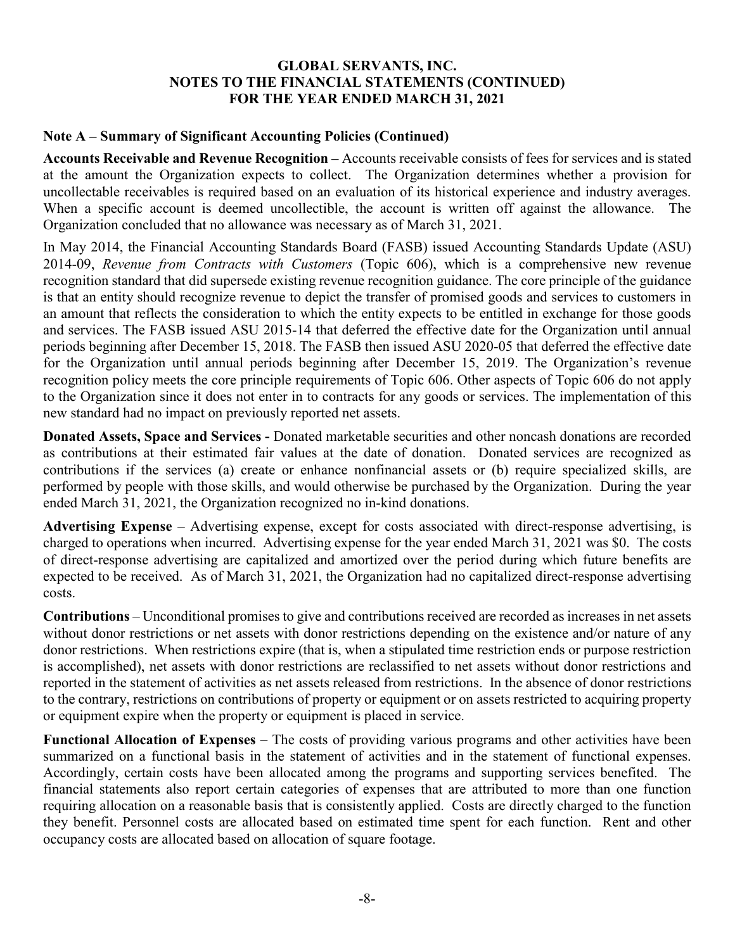# GLOBAL SERVANTS, INC. GLOBAL SERVANTS, INC.<br>
NOTES TO THE FINANCIAL STATEMENTS (CONTINUED)<br>
FOR THE YEAR ENDED MARCH 31, 2021<br>
of Significant Accounting Policies (Continued)<br>
and Revenue Recognition – Accounts receivable consists of fees for se GLOBAL SERVANTS, INC.<br>
TO THE FINANCIAL STATEMENTS (CONTINUED)<br>
FOR THE YEAR ENDED MARCH 31, 2021<br>
ant Accounting Policies (Continued)<br>
nue Recognition – Accounts receivable consists of fees for services and is stated<br>
n e

GLOBAL SERVANTS, INC.<br>
Note A – Summary of Significant Accounting Policies (Continued)<br>
Note A – Summary of Significant Accounting Policies (Continued)<br>
Accounts Receivable and Revenue Recegnition – Accounts receivable con **CLOBAL SERVANTS, INC.**<br> **NOTES TO THE FINANCIAL STATEMENTS (CONTINUED)**<br> **FOR THE YEAR ENDED MARCH 31, 2021**<br> **Note A – Summary of Significant Accounting Policies (Continued)**<br> **Accounts Receivable and Revenue Recognition** at the amount the Organization expects to collect. The Organization determines whether a provision for uncollectable receivables is required based on an evaluation of its historical experience and industry averages. When a specific account is deemed uncollectible, the account is written off against the allowance. The Organization concluded that no allowance was necessary as of March 31, 2021.

In May 2014, the Financial Accounting Standards Board (FASB) issued Accounting Standards Update (ASU) 2014-09, Revenue from Contracts with Customers (Topic 606), which is a comprehensive new revenue recognition standard that did supersede existing revenue recognition guidance. The core principle of the guidance is that an entity should recognize revenue to depict the transfer of promised goods and services to customers in an amount that reflects the consideration to which the entity expects to be entitled in exchange for those goods and services. The FASB issued ASU 2015-14 that deferred the effective date for the Organization until annual periods beginning after December 15, 2018. The FASB then issued ASU 2020-05 that deferred the effective date for the Organization until annual periods beginning after December 15, 2019. The Organization's revenue recognition policy meets the core principle requirements of Topic 606. Other aspects of Topic 606 do not apply to the Organization since it does not enter in to contracts for any goods or services. The implementation of this new standard had no impact on previously reported net assets. Note A – Summary of Significant Accounting Policies (Continued)<br>Accounts Receivable and Revenue Recognition – Accounts recoivable consists of fees for services and is stated<br>Accounts Receivable and Revenue Recognition – Ac Accounts Receivable and Revenue Recognition – Accounts receivable consists of fees for services and is stated<br>at the monoule the Organization expects to collect. The Organization decremines whether a provision for<br>uncollec Organization concluded that no allowance was necessary as of March 31, 2021.<br>
In May 2014, the Financial Accounting Standards Bond (FASB) issued Accounting Standards Update (ASU)<br>
2014-09, *Revenue from Contracts with Cus* In May 2014, the Financial Aceounting Standards Board (FASB) issued Aceounting Standards Update (ASU)<br>2014-09, Revenue from Contracts with Customers (Topic 606), which is a comprehensive new revenue<br>crocognition standard t Expective 1990 COMPUSES Min<sup>2</sup>CLE Considers. The Consideration is the solution is the solution standard that disquested existing revenue receiption guidance. The core principle of the guidance receiption stand and entity s an amount that reflects the consideration to which the entity expects to be entitled in exchange for those goods<br>perriots. The FASB issued ASU 2015-14 that deferred the effective date for the Organization until amand<br>perri

contributions if the services (a) create or enhance nonfinancial assets or (b) require specialized skills, are performed by people with those skills, and would otherwise be purchased by the Organization. During the year ended March 31, 2021, the Organization recognized no in-kind donations.

of direct-response advertising are capitalized and amortized over the period during which future benefits are costs.

and services. The FASB issued ASU 2015-14 that deferred the effective date for the Organization until amual<br>periods beginning after December 15, 2018. The FASB then issued ASU 2020-05 that deferred the effective date<br>for t donor restrictions. When restrictions expire (that is, when a stipulated time restriction ends or purpose restriction is accomplished), net assets with donor restrictions are reclassified to net assets without donor restrictions and reported in the statement of activities as net assets released from restrictions. In the absence of donor restrictions to the contrary, restrictions on contributions of property or equipment or on assets restricted to acquiring property or equipment expire when the property or equipment is placed in service. **Donated Assets. Space and Services** - Donated markcable securities and other noncash donations are recorded as contributions at their estimated fair values at the date of donation. Donated services are recognized as contr as contributions at their estimated fair values at the date of donation. Donated scrvices are recognized as<br>contributions if the services (a) create or enhance nonfinancial assets or (b) require specialized skills, are<br>per performed by people with those skills, and would otherwise be purchased by the Organization. During the year<br>ended March 31, 2021, the Organization recognized no in-kind donations.<br>
Advertising Zxpense – Advertising expens

Accordingly, certain costs have been allocated among the programs and supporting services benefited. The requiring allocation on a reasonable basis that is consistently applied. Costs are directly charged to the function they benefit. Personnel costs are allocated based on estimated time spent for each function. Rent and other occupancy costs are allocated based on allocation of square footage.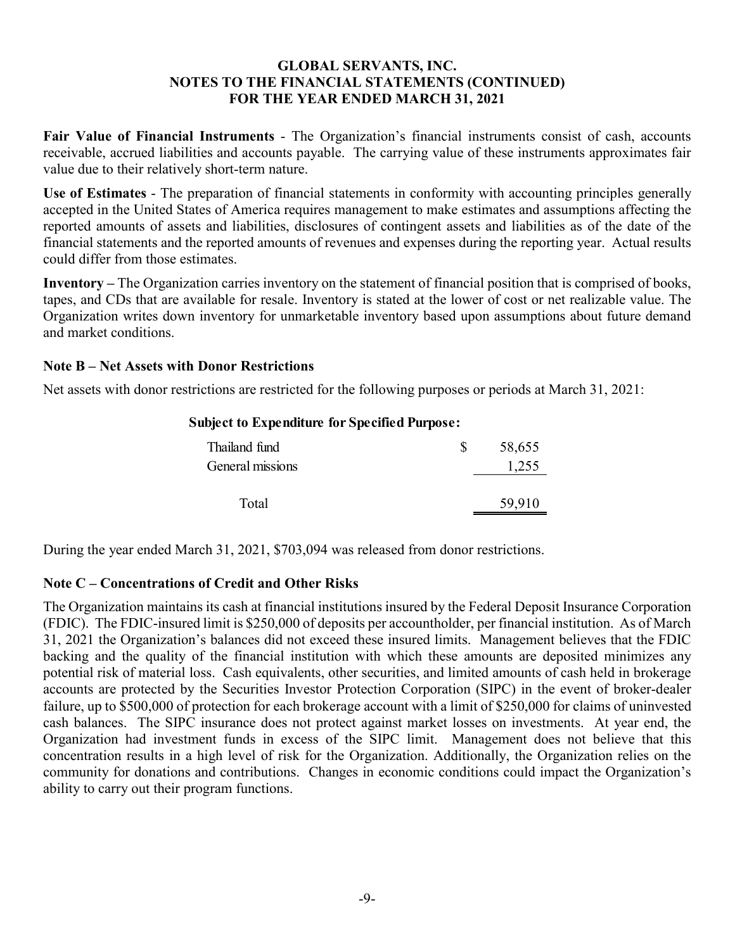# GLOBAL SERVANTS, INC. NOTES TO THE FINANCIAL STATEMENTS (CONTINUED) FOR THE YEAR ENDED MARCH 31, 2021

Fair Value of Financial Instruments - The Organization's financial instruments consist of cash, accounts<br>Fair Value of Financial Instruments - The Organization's financial instruments consist of cash, accounts<br>receivable, value due to their relatively short-term nature.

**GLOBAL SERVANTS, INC.**<br> **RECEVANTS (CONTINUED)**<br> **FOR THE FINANCIAL STATEMENTS (CONTINUED)**<br> **FOR THE VEAR ENDED MARCH 31, 2021**<br> **FECT THE VEAR ENDED MARCH 31, 2021**<br> **FECT THE CARRE ENDED MARCH 31, 2021**<br> **EXECUTED:**<br> GLOBAL SERVANTS, INC.<br>
NOTES TO THE FINANCIAL STATEMENTS (CONTINUED)<br>
FOR THE VEAR ENDED MARCH 31, 2021<br>
Fair Value of Financial Instruments - The Organization's financial instruments consist of cash, accounts<br>
receivable, **EXECUTE STATE STATE STATE STATE STATE STATE STATE STATE OF THE YEAR ENDED MARCH 31, 2021**<br>
Fair Value of Financial Instruments - The Organization's financial instruments consist of cash, accounts<br>
receivable, accrued liab **GLOBAL SERVANTS, INC.**<br> **FOR THE FINANCIAL STATEMENTS (CONTINUED)**<br> **FOR THE VEAR ENDED MARCH 31, 2021**<br> **Fair Value of Financial Instruments** - The Organization's financial instruments consist of cash, accounts<br>
receivab **FINANCIAL SERVANTS, INC.**<br>**FINANCIAL STATEMENTS (CONTINUED)**<br>**Figure 10.1 THE FINANCIAL STATEMENTS (CONTINUED)**<br>**Fair Value of Financial Instruments -** The Organization's financial instruments consist of cash, accounts<br>re could differ from those estimates. **INVERTED THE SERVANTS, INC.**<br> **INVERTED THE FINANCIAL STATEMENTS (CONTINUED)**<br> **Fair Value of Financial Instruments -** The Organization's financial instruments consist of cash, accounts<br>
receivable, accrued liabilities an **ELOBAL SERVANTS, INC.**<br> **FAIT VAIDE OF THE VEAR ENDED MARCH 31, 2021**<br> **FAIT VAIDE OF THE VEAR ENDED MARCH 31, 2021**<br> **FAIT VAIDE OF THE VEAR ENDED MARCH 31, 2021**<br> **FAIT VAIDE CONTINUED)**<br> **FAIT VAIDE CONTINUED**<br> **CONTIN CLOBAL SERVANTS, INC.**<br> **CLOBAL SERVANTS, INC.**<br> **FOR THE YEAR ENDED MARCH 31, 2021**<br> **Fair Value of Financial Instruments -** The Organization's financial instruments consist of cash, accounts<br>
preacivable, accord liabili GLOBAL SERVANTS, INC.<br>
NOTES TO THE FINANCIAL STATEMENTS (CO<br>
FOR THE VEAR ENDED MARCH 31, 20:<br>
Fair Value of Financial Instruments - The Organization's financial instreceivable, accrued liabilities and accounts payable. T **INSTET THE OTHEMIZATION** 5 Indincial instruments consist of cast, accounts<br>
s and accounts payable. The carrying value of these instruments approximates fair<br>
short-term nature.<br>
Departion of financial statements in confo star accounts paper. The earlying value of these instanties approximates and<br>short-term nature.<br>
Short-term nature.<br>
Short-term at the set instants in conformity with accounting principles generally<br>
so of America requires paradion of inancial statements in conforminy win accounting primeples generally<br>so f America requires management to make estimates and assumptions affecting the<br>and liabilities, disclosures of contingent assets and liabil

and market conditions. marcial statements and the reported amounts of revenues and expenses during the reporting year. Actual results<br> **Inventory** – The Organization carries inventory on the statement of financial position that is comprised of b

Net assets with donor restrictions are restricted for the following purposes or periods at March 31, 2021:

| Thailand fund    | <sup>S</sup> | 58,655 |
|------------------|--------------|--------|
| General missions |              | 1,255  |
| Total            |              | 59,910 |

## Subject to Expenditure for Specified Purpose:

**Inventory** – The Organization carries inventory on the statement of financial position that is compared and CDs that are available for resale. Inventory is stated at the lower of cost or net real organization writes down The Organization wirls down inventory is stated at the lower of cost or net realizable value. The<br>Organization writes down inventory for unmarketable inventory based upon assumptions about future demand<br>and market conditio Organization writes down inventory for unmarketable inventory based upon assumptions about future demand<br>
Note B – Net Assets with **Donor Restrictions**<br>
Net assets with donor restrictions are restricted for the following 31, 2021<br>
31, 2021 the Organization SNet assets with Donor Restrictions<br>
Net assets with donor restrictions are restricted for the following purposes or periods at March 31, 2021:<br>
31, 2021:<br>
31, 2021<br>
51, 2021 the Organi backing and the quality of the financial institution with which these amounts are deposited minimizes any Note **B** – Net Assets with Donor Restrictions<br>
Net assets with donor restrictions are restricted for the following purposes or periods at March 31, 2021:<br>
Subject to Expenditure for Specified Purpose:<br>
Trainal final<br>
Cont accounts are protected by the Securities Investor Protection Corporation (SIPC) in the event of broker-dealer failure, up to \$500,000 of protection for each brokerage account with a limit of \$250,000 for claims of uninvested cash balances. The SIPC insurance does not protect against market losses on investments. At year end, the Organization had investment funds in excess of the SIPC limit. Management does not believe that this Final manuation results in a high concentration relies of the Organization relies of Organization maintains its cash at financial institutions insured by the Federal Deposit Insurance Corporation (FDIC). The FDIC-insured community for donations and contributions. Changes in economic conditions could impact the Organization's ability to carry out their program functions.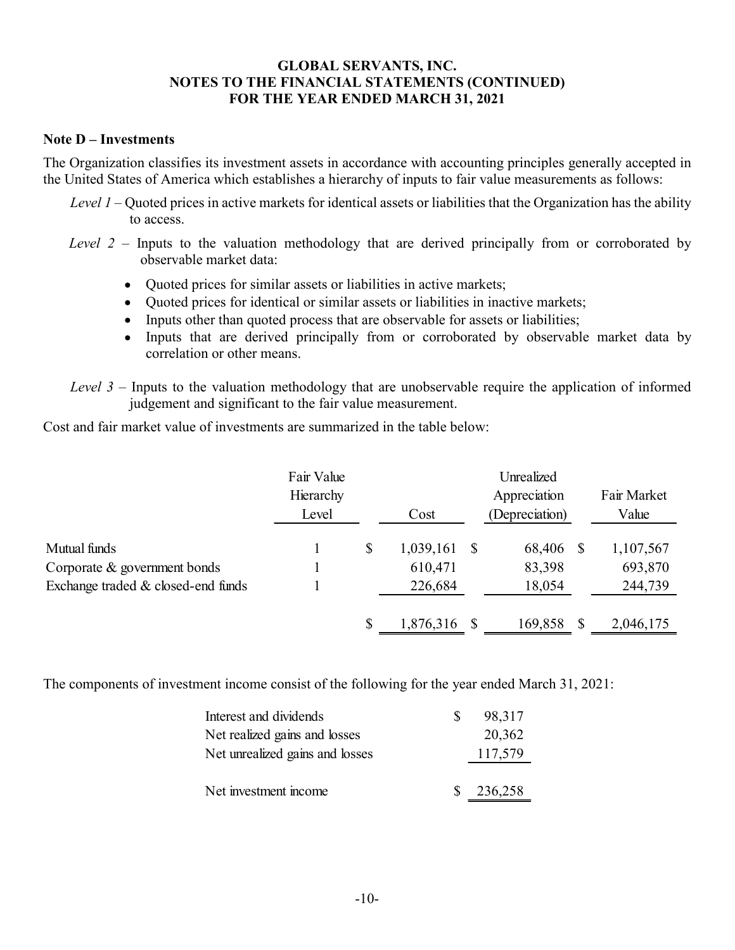# GLOBAL SERVANTS, INC. GLOBAL SERVANTS, INC.<br>
NOTES TO THE FINANCIAL STATEMENTS (CONTINUED)<br>
FOR THE YEAR ENDED MARCH 31, 2021<br>
s FOR THE YEAR ENDED MARCH 31, 2021 **CLOBAL SERVANTS, INC.**<br>
NOTES TO THE FINANCIAL STATEMENTS (CO<br>
FOR THE YEAR ENDED MARCH 31, 20:<br>
Note D – Investments<br>
The Organization classifies its investment assets in accordance with accounting<br>
the United States of **INDEX TO THE FINANCIAL STATEMENTS (CONTINUED)**<br> **FOR THE FINANCIAL STATEMENTS (CONTINUED)**<br> **FOR THE VEAR ENDED MARCH 31, 2021**<br> **Ensisties** its investment assets in accordance with accounting principles generally accepte **GLOBAL SERVANTS, INC.**<br> **CLOBAL STATEMENTS (CONTINUED)**<br> **FOR THE FINANCIAL STATEMENTS (CONTINUED)**<br> **FOR THE YEAR ENDED MARCH 31, 2021**<br> **Relation of America which establishes a hierarchy of inputs to fair value measurem**

The Organization classifies its investment assets in accordance with accounting principles generally accepted in the United States of America which establishes a hierarchy of inputs to fair value measurements as follows:

- Level 1 Quoted prices in active markets for identical assets or liabilities that the Organization has the ability to access.
- Level 2 Inputs to the valuation methodology that are derived principally from or corroborated by observable market data:
	- Ouoted prices for similar assets or liabilities in active markets;
	- Quoted prices for identical or similar assets or liabilities in inactive markets;
	- Inputs other than quoted process that are observable for assets or liabilities;
	-
- **Level 3** Inputs to the valuation methodology that are unobservable required informed Superince in the valuation classifies its investment assets in accordance with accounting principles generally accepted in third Stat judgement and significant to the fair value measurement.

| to access.                                                                                                                                                            |                                                                                                                                                                                                                                                                                                                                     |                    |    |                                              |    | Level $T$ – Quoted prices in active markets for identical assets of habilities that the Organization has the ability |
|-----------------------------------------------------------------------------------------------------------------------------------------------------------------------|-------------------------------------------------------------------------------------------------------------------------------------------------------------------------------------------------------------------------------------------------------------------------------------------------------------------------------------|--------------------|----|----------------------------------------------|----|----------------------------------------------------------------------------------------------------------------------|
| Level $2$ – Inputs to the valuation methodology that are derived principally from or corroborated by<br>observable market data:                                       |                                                                                                                                                                                                                                                                                                                                     |                    |    |                                              |    |                                                                                                                      |
| correlation or other means.                                                                                                                                           | Quoted prices for similar assets or liabilities in active markets;<br>Quoted prices for identical or similar assets or liabilities in inactive markets;<br>Inputs other than quoted process that are observable for assets or liabilities;<br>Inputs that are derived principally from or corroborated by observable market data by |                    |    |                                              |    |                                                                                                                      |
| Level $3$ – Inputs to the valuation methodology that are unobservable require the application of informed<br>judgement and significant to the fair value measurement. |                                                                                                                                                                                                                                                                                                                                     |                    |    |                                              |    |                                                                                                                      |
| Cost and fair market value of investments are summarized in the table below:                                                                                          |                                                                                                                                                                                                                                                                                                                                     |                    |    |                                              |    |                                                                                                                      |
|                                                                                                                                                                       | Fair Value<br>Hierarchy<br>Level                                                                                                                                                                                                                                                                                                    | Cost               |    | Unrealized<br>Appreciation<br>(Depreciation) |    | Fair Market<br>Value                                                                                                 |
|                                                                                                                                                                       |                                                                                                                                                                                                                                                                                                                                     |                    |    |                                              |    |                                                                                                                      |
| Mutual funds                                                                                                                                                          |                                                                                                                                                                                                                                                                                                                                     | \$<br>1,039,161    | -S | 68,406 \$                                    |    | 1,107,567                                                                                                            |
| Corporate & government bonds<br>Exchange traded & closed-end funds                                                                                                    |                                                                                                                                                                                                                                                                                                                                     | 610,471<br>226,684 |    | 83,398<br>18,054                             |    | 693,870<br>244,739                                                                                                   |
|                                                                                                                                                                       |                                                                                                                                                                                                                                                                                                                                     | \$<br>1,876,316 \$ |    | 169,858                                      | -S | 2,046,175                                                                                                            |
| The components of investment income consist of the following for the year ended March 31, 2021:                                                                       | Interest and dividends<br>Net realized gains and losses<br>Net unrealized gains and losses                                                                                                                                                                                                                                          |                    |    | 98,317<br>20,362<br>117,579                  |    |                                                                                                                      |

| Interest and dividends          | S. | 98,317    |
|---------------------------------|----|-----------|
| Net realized gains and losses   |    | 20,362    |
| Net unrealized gains and losses |    | 117,579   |
|                                 |    |           |
| Net investment income           |    | \$236,258 |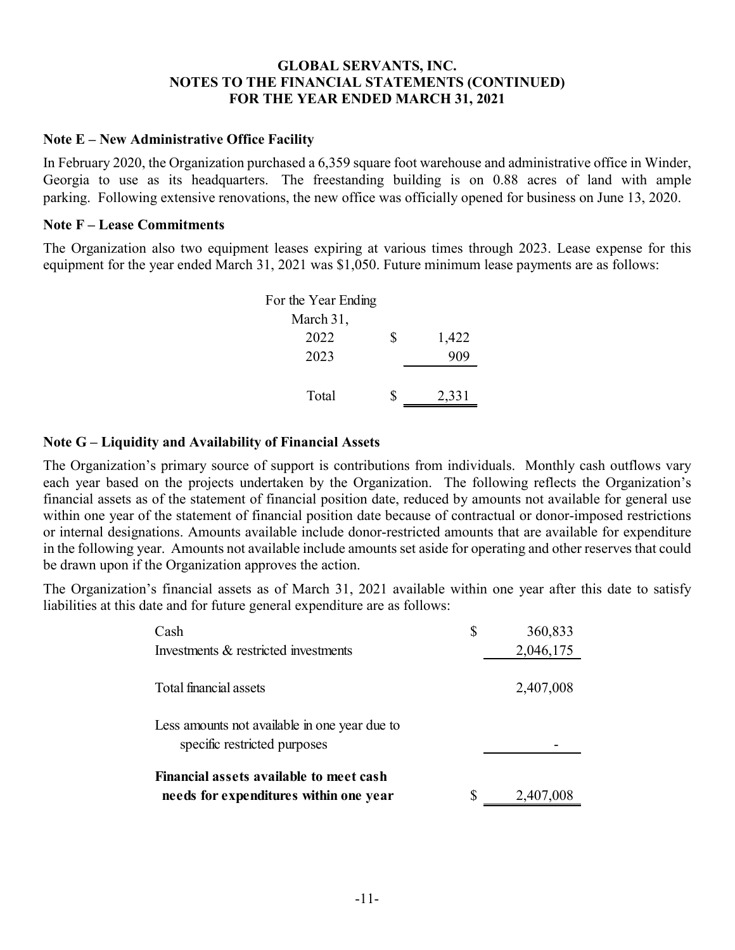# GLOBAL SERVANTS, INC. NOTES TO THE FINANCIAL STATEMENTS (CONTINUED) FOR THE YEAR ENDED MARCH 31, 2021

GLOBAL SERVANTS, INC.<br>
NOTES TO THE FINANCIAL STATEMENTS (CON<br>
FOR THE YEAR ENDED MARCH 31, 2021<br>
Note E – New Administrative Office Facility<br>
In February 2020, the Organization purchased a 6,359 square foot warehouse and<br> GLOBAL SERVANTS, INC.<br> **IN FERRE A FOR THE FINANCIAL STATEMENTS (CONTINUED)**<br> **IN FEBRUARY 2020, the Organization purchased a 6,359 square foot warehouse and administrative office in Winder,**<br>
Georgia to use as its headqua GLOBAL SERVANTS, INC.<br>
SERVANTS (CONTINUED)<br>
FOR THE FINANCIAL STATEMENTS (CONTINUED)<br>
FOR THE VEAR ENDED MARCH 31, 2021<br>
Note E – New Administrative Office Facility<br>
In February 2020, the Organization purchased a 6,359 sq **GLOBAL SERVANTS, INC.**<br> **FOR THE FINANCIAL STATEMENTS (CONTINUED)**<br> **FOR THE VEAR ENDED MARCH 31, 2021**<br> **Note E – New Administrative Office Facility**<br>
In February 2020, the Organization purchased a 6,359 square foot ware GLOBAL SERVANTS, INC.<br>
NOTES TO THE FINANCIAL STATEMENTS (CO<br>
FOR THE VEAR ENDED MARCH 31, 20<br>
Note E – New Administrative Office Facility<br>
In February 2020, the Organization purchased a 6,359 square foot warehouse a<br>
Geor GLOBAL SERVANTS, INC.<br> **THE FINANCIAL STATEMENTS (CONTINUED)**<br> **FOR THE VEAR ENDED MARCH 31, 2021**<br> **Note E – New Administrative Office Facility**<br>
In February 2020, the Organization purchased a 6,359 square foot warehouse **ETOBAT. SERVANTS, INC.**<br> **EGOBAT. SERVANTS, INC.**<br> **EGORTHE FENANCIAL STATEMENTS (CONTINUED)**<br> **FOR THE YEAR ENDED MARCH 31, 2021**<br> **IN February 2020, the Organization purchased a 6,359 square foot warehouse and administr** 

| <b>GLOBAL SERVANTS, INC.</b><br>E FINANCIAL STATEMENTS (CONTINUED)<br><b>THE YEAR ENDED MARCH 31, 2021</b> |       |                                                                                                                                                                                                                          |  |
|------------------------------------------------------------------------------------------------------------|-------|--------------------------------------------------------------------------------------------------------------------------------------------------------------------------------------------------------------------------|--|
| <b>Facility</b>                                                                                            |       |                                                                                                                                                                                                                          |  |
|                                                                                                            |       | chased a 6,359 square foot warehouse and administrative office in Winder,<br>. The freestanding building is on 0.88 acres of land with ample<br>ons, the new office was officially opened for business on June 13, 2020. |  |
|                                                                                                            |       | t leases expiring at various times through 2023. Lease expense for this<br>1, 2021 was \$1,050. Future minimum lease payments are as follows:                                                                            |  |
| For the Year Ending                                                                                        |       |                                                                                                                                                                                                                          |  |
| March 31,                                                                                                  |       |                                                                                                                                                                                                                          |  |
| $\mathbb{S}$<br>2022                                                                                       | 1,422 |                                                                                                                                                                                                                          |  |
| 2023                                                                                                       | 909   |                                                                                                                                                                                                                          |  |
| Total<br>\$                                                                                                | 2,331 |                                                                                                                                                                                                                          |  |
| of Financial Assets                                                                                        |       |                                                                                                                                                                                                                          |  |
|                                                                                                            |       | support is contributions from individuals. Monthly cash outflows vary                                                                                                                                                    |  |

**Note E – New Administrative Office Facility**<br>
In February 2020, the Organization purchased a 6,359 square foot warehouse and adm<br>
Georgia to use as its headquarters. The freestanding building is on 0.88<br>
parking. Followi In February 2020, the Organization purchased a 6,359 square foot warehouse and administrative office in Winder,<br>Georgia to use as its headquaters. The freedstanding building is on 0.88 areas of land with ample<br>parking, re each year based on the projects undertaken by the Organization. The following reflects the Organization's financial assets as of the statement of financial position date, reduced by amounts not available for general use within one year of the statement of financial position date because of contractual or donor-imposed restrictions or internal designations. Amounts available include donor-restricted amounts that are available for expenditure in the following year. Amounts not available include amounts set aside for operating and other reserves that could be drawn upon if the Organization approves the action. For the Year Ending<br>
March 31,<br>
2022 3<br>
2023 1999<br>
Total 5<br>
2023 2023<br>
2023 1999<br>
Total 5<br>
2023 2023 1999<br>
Total 5<br>
2023 2023 1999<br>
2023 2023 1999<br>
2023 2023 1999<br>
2023 2023 2023 1999<br>
2023 2023 1999<br>
2023 2023 2021<br>
2023  $\frac{1}{2022}$  2023<br>
2022<br>
2023<br>
2023<br>
2023<br>
2023<br>
2023<br>
2023<br>
2023<br>
2023<br>
3009<br>
Total<br>
5<br>
2023<br>
3009<br>
2023<br>
3009<br>
2033<br>
3009<br>
Total<br>
8<br>
2033<br>
2033<br>
2033<br>
2033<br>
2033<br>
2033<br>
2033<br>
2010 individuals. Monthly eash outflows vary 2023<br>
2023<br>
2023<br>
2023<br>
2023<br>
2023<br>
2023<br>
2023<br>
2023<br>
2023<br>
2023<br>
2023<br>
2023<br>
2023<br>
2023<br>
2023<br>
2023<br>
2023<br>
2023<br>
2023<br>
2023<br>
2023<br>
2023<br>
2023<br>
2023<br>
2023<br>
2023<br>
2023<br>
2023<br>
2023<br>
2023<br>
2023<br>
2023<br>
2023<br>
2023<br>
2023<br>
2023<br>

liabilities at this date and for future general expenditure are as follows:

| \$<br>Total                                                                                                                                                                                                                                                                                                                                                                                                                                                                                                                                                                                                                         | 2,331 |           |  |
|-------------------------------------------------------------------------------------------------------------------------------------------------------------------------------------------------------------------------------------------------------------------------------------------------------------------------------------------------------------------------------------------------------------------------------------------------------------------------------------------------------------------------------------------------------------------------------------------------------------------------------------|-------|-----------|--|
| y and Availability of Financial Assets                                                                                                                                                                                                                                                                                                                                                                                                                                                                                                                                                                                              |       |           |  |
| s primary source of support is contributions from individuals. Monthly cash outflows vary<br>in the projects undertaken by the Organization. The following reflects the Organization's<br>of the statement of financial position date, reduced by amounts not available for general use<br>the statement of financial position date because of contractual or donor-imposed restrictions<br>tions. Amounts available include donor-restricted amounts that are available for expenditure<br>ar. Amounts not available include amounts set aside for operating and other reserves that could<br>ne Organization approves the action. |       |           |  |
| s financial assets as of March 31, 2021 available within one year after this date to satisfy<br>te and for future general expenditure are as follows:                                                                                                                                                                                                                                                                                                                                                                                                                                                                               |       |           |  |
|                                                                                                                                                                                                                                                                                                                                                                                                                                                                                                                                                                                                                                     |       |           |  |
| Cash                                                                                                                                                                                                                                                                                                                                                                                                                                                                                                                                                                                                                                | \$    | 360,833   |  |
| Investments & restricted investments                                                                                                                                                                                                                                                                                                                                                                                                                                                                                                                                                                                                |       | 2,046,175 |  |
| Total financial assets                                                                                                                                                                                                                                                                                                                                                                                                                                                                                                                                                                                                              |       | 2,407,008 |  |
| Less amounts not available in one year due to<br>specific restricted purposes                                                                                                                                                                                                                                                                                                                                                                                                                                                                                                                                                       |       |           |  |
| Financial assets available to meet cash                                                                                                                                                                                                                                                                                                                                                                                                                                                                                                                                                                                             |       |           |  |